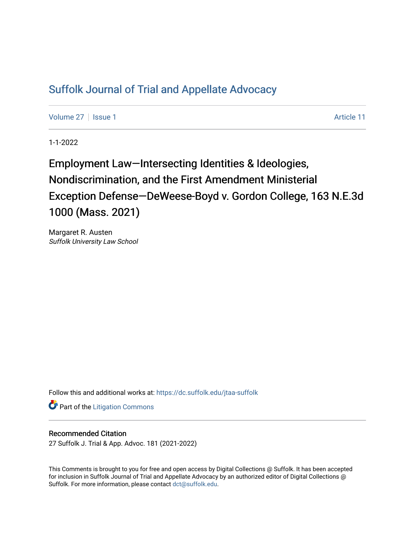# [Suffolk Journal of Trial and Appellate Advocacy](https://dc.suffolk.edu/jtaa-suffolk)

[Volume 27](https://dc.suffolk.edu/jtaa-suffolk/vol27) | [Issue 1](https://dc.suffolk.edu/jtaa-suffolk/vol27/iss1) Article 11

1-1-2022

Employment Law—Intersecting Identities & Ideologies, Nondiscrimination, and the First Amendment Ministerial Exception Defense—DeWeese-Boyd v. Gordon College, 163 N.E.3d 1000 (Mass. 2021)

Margaret R. Austen Suffolk University Law School

Follow this and additional works at: [https://dc.suffolk.edu/jtaa-suffolk](https://dc.suffolk.edu/jtaa-suffolk?utm_source=dc.suffolk.edu%2Fjtaa-suffolk%2Fvol27%2Fiss1%2F11&utm_medium=PDF&utm_campaign=PDFCoverPages) 

**Part of the [Litigation Commons](https://network.bepress.com/hgg/discipline/910?utm_source=dc.suffolk.edu%2Fjtaa-suffolk%2Fvol27%2Fiss1%2F11&utm_medium=PDF&utm_campaign=PDFCoverPages)** 

## Recommended Citation

27 Suffolk J. Trial & App. Advoc. 181 (2021-2022)

This Comments is brought to you for free and open access by Digital Collections @ Suffolk. It has been accepted for inclusion in Suffolk Journal of Trial and Appellate Advocacy by an authorized editor of Digital Collections @ Suffolk. For more information, please contact [dct@suffolk.edu.](mailto:dct@suffolk.edu)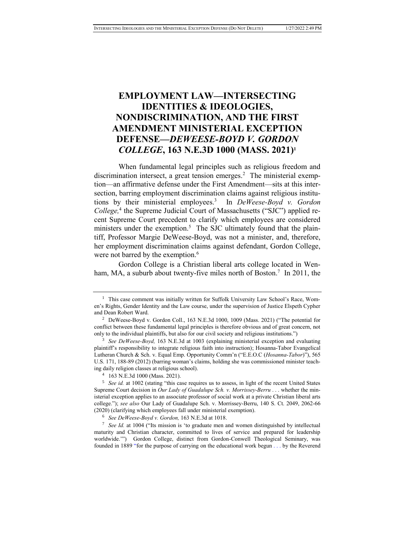## **EMPLOYMENT LAW—INTERSECTING IDENTITIES & IDEOLOGIES, NONDISCRIMINATION, AND THE FIRST AMENDMENT MINISTERIAL EXCEPTION DEFENSE—***DEWEESE-BOYD V. GORDON COLLEGE***, 163 N.E.3D 1000 (MASS. 2021)<sup>1</sup>**

When fundamental legal principles such as religious freedom and discrimination intersect, a great tension emerges.<sup>2</sup> The ministerial exemption—an affirmative defense under the First Amendment—sits at this intersection, barring employment discrimination claims against religious institutions by their ministerial employees.<sup>3</sup> In *DeWeese-Boyd v. Gordon*  College,<sup>4</sup> the Supreme Judicial Court of Massachusetts ("SJC") applied recent Supreme Court precedent to clarify which employees are considered ministers under the exemption.<sup>5</sup> The SJC ultimately found that the plaintiff, Professor Margie DeWeese-Boyd, was not a minister, and, therefore, her employment discrimination claims against defendant, Gordon College, were not barred by the exemption.<sup>6</sup>

Gordon College is a Christian liberal arts college located in Wenham, MA, a suburb about twenty-five miles north of Boston.<sup>7</sup> In 2011, the

<sup>&</sup>lt;sup>1</sup> This case comment was initially written for Suffolk University Law School's Race, Women's Rights, Gender Identity and the Law course, under the supervision of Justice Elspeth Cypher and Dean Robert Ward.

<sup>&</sup>lt;sup>2</sup> DeWeese-Boyd v. Gordon Coll., 163 N.E.3d 1000, 1009 (Mass. 2021) ("The potential for conflict between these fundamental legal principles is therefore obvious and of great concern, not only to the individual plaintiffs, but also for our civil society and religious institutions.")

<sup>3</sup> *See DeWeese-Boyd,* 163 N.E.3d at 1003 (explaining ministerial exception and evaluating plaintiff's responsibility to integrate religious faith into instruction); Hosanna-Tabor Evangelical Lutheran Church & Sch. v. Equal Emp. Opportunity Comm'n ("E.E.O.C (*Hosanna-Tabor*)"), 565 U.S. 171, 188-89 (2012) (barring woman's claims, holding she was commissioned minister teaching daily religion classes at religious school).

<sup>4</sup> 163 N.E.3d 1000 (Mass. 2021).

<sup>&</sup>lt;sup>5</sup> *See id.* at 1002 (stating "this case requires us to assess, in light of the recent United States Supreme Court decision in *Our Lady of Guadalupe Sch. v. Morrissey-Berru* . . . whether the ministerial exception applies to an associate professor of social work at a private Christian liberal arts college."); *see also* Our Lady of Guadalupe Sch. v. Morrissey-Berru, 140 S. Ct. 2049, 2062-66 (2020) (clarifying which employees fall under ministerial exemption).

<sup>6</sup> *See DeWeese-Boyd v. Gordon,* 163 N.E.3d at 1018.

<sup>7</sup> *See Id.* at 1004 ("Its mission is 'to graduate men and women distinguished by intellectual maturity and Christian character, committed to lives of service and prepared for leadership worldwide.'") Gordon College, distinct from Gordon-Conwell Theological Seminary, was founded in 1889 "for the purpose of carrying on the educational work begun . . . by the Reverend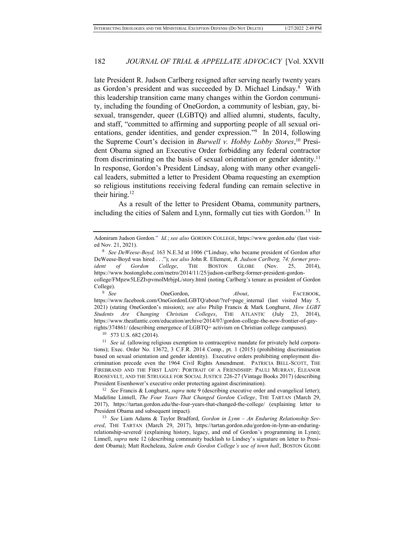late President R. Judson Carlberg resigned after serving nearly twenty years as Gordon's president and was succeeded by D. Michael Lindsay.<sup>8</sup> With this leadership transition came many changes within the Gordon community, including the founding of OneGordon, a community of lesbian, gay, bisexual, transgender, queer (LGBTQ) and allied alumni, students, faculty, and staff, "committed to affirming and supporting people of all sexual orientations, gender identities, and gender expression."<sup>9</sup> In 2014, following the Supreme Court's decision in *Burwell v. Hobby Lobby Stores*, <sup>10</sup> President Obama signed an Executive Order forbidding any federal contractor from discriminating on the basis of sexual orientation or gender identity.<sup>11</sup> In response, Gordon's President Lindsay, along with many other evangelical leaders, submitted a letter to President Obama requesting an exemption so religious institutions receiving federal funding can remain selective in their hiring.<sup>12</sup>

As a result of the letter to President Obama, community partners, including the cities of Salem and Lynn, formally cut ties with Gordon.<sup>13</sup> In

OneGordon, *About*, FACEBOOK, https://www.facebook.com/OneGordonLGBTQ/about/?ref=page\_internal (last\_visited May 5, 2021) (stating OneGordon's mission); *see also* Philip Francis & Mark Longhurst, *How LGBT Students Are Changing Christian Colleges*, THE ATLANTIC (July 23, 2014), https://www.theatlantic.com/education/archive/2014/07/gordon-college-the-new-frontier-of-gayrights/374861/ (describing emergence of LGBTQ+ activism on Christian college campuses).

<sup>10</sup> 573 U.S. 682 (2014).

<sup>11</sup> *See id.* (allowing religious exemption to contraceptive mandate for privately held corporations); Exec. Order No. 13672, 3 C.F.R. 2014 Comp., pt. 1 (2015) (prohibiting discrimination based on sexual orientation and gender identity). Executive orders prohibiting employment discrimination precede even the 1964 Civil Rights Amendment. PATRICIA BELL-SCOTT, THE FIREBRAND AND THE FIRST LADY: PORTRAIT OF A FRIENDSHIP: PAULI MURRAY, ELEANOR ROOSEVELT, AND THE STRUGGLE FOR SOCIAL JUSTICE 226-27 (Vintage Books 2017) (describing President Eisenhower's executive order protecting against discrimination).

<sup>12</sup> *See* Francis & Longhurst, *supra* note 9 (describing executive order and evangelical letter); Madeline Linnell, *The Four Years That Changed Gordon College*, THE TARTAN (March 29, 2017), https://tartan.gordon.edu/the-four-years-that-changed-the-college/ (explaining letter to President Obama and subsequent impact)*.* 

<sup>13</sup> *See* Liam Adams & Taylor Bradford, *Gordon in Lynn – An Enduring Relationship Severed*, THE TARTAN (March 29, 2017), https://tartan.gordon.edu/gordon-in-lynn-an-enduringrelationship-severed/ (explaining history, legacy, and end of Gordon's programming in Lynn); Linnell, *supra* note 12 (describing community backlash to Lindsey's signature on letter to President Obama); Matt Rocheleau, *Salem ends Gordon College's use of town hall*, BOSTON GLOBE

Adoniram Judson Gordon." *Id.*; *see also* GORDON COLLEGE, https://www.gordon.edu/ (last visited Nov. 21, 2021).

<sup>8</sup> *See DeWeese-Boyd,* 163 N.E.3d at 1006 ("Lindsay, who became president of Gordon after DeWeese-Boyd was hired . . ."); *see also* John R. Ellement, *R. Judson Carlberg, 74; former president of Gordon College*, THE BOSTON GLOBE (Nov. 25, 2014), https://www.bostonglobe.com/metro/2014/11/25/judson-carlberg-former-president-gordoncollege/FMpzw5LEZIvpvmolMrbjpL/story.html (noting Carlberg's tenure as president of Gordon College).<br> $\frac{9}{5}$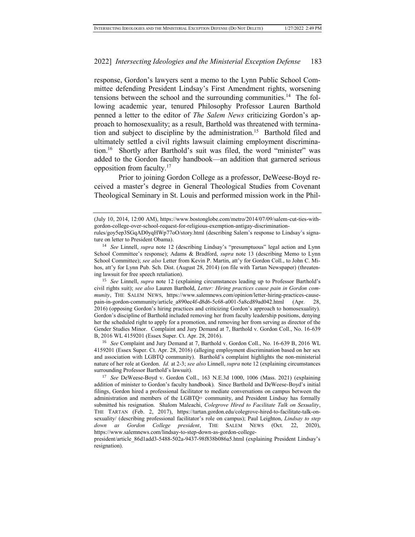response, Gordon's lawyers sent a memo to the Lynn Public School Committee defending President Lindsay's First Amendment rights, worsening tensions between the school and the surrounding communities.<sup>14</sup> The following academic year, tenured Philosophy Professor Lauren Barthold penned a letter to the editor of *The Salem News* criticizing Gordon's approach to homosexuality; as a result, Barthold was threatened with termination and subject to discipline by the administration.<sup>15</sup> Barthold filed and ultimately settled a civil rights lawsuit claiming employment discrimination.<sup>16</sup> Shortly after Barthold's suit was filed, the word "minister" was added to the Gordon faculty handbook—an addition that garnered serious opposition from faculty.<sup>17</sup>

Prior to joining Gordon College as a professor, DeWeese-Boyd received a master's degree in General Theological Studies from Covenant Theological Seminary in St. Louis and performed mission work in the Phil-

<sup>15</sup> *See* Linnell, *supra* note 12 (explaining circumstances leading up to Professor Barthold's civil rights suit); *see also* Lauren Barthold, *Letter: Hiring practices cause pain in Gordon community*, THE SALEM NEWS, https://www.salemnews.com/opinion/letter-hiring-practices-causepain-in-gordon-community/article\_a890ec4f-d8d6-5c68-a001-5a8cd89ad042.html (Apr. 28, 2016) (opposing Gordon's hiring practices and criticizing Gordon's approach to homosexuality). Gordon's discipline of Barthold included removing her from faculty leadership positions, denying her the scheduled right to apply for a promotion, and removing her from serving as director of the Gender Studies Minor. Complaint and Jury Demand at 7, Barthold v. Gordon Coll., No. 16-639 B, 2016 WL 4159201 (Essex Super. Ct. Apr. 28, 2016).

<sup>16</sup> *See* Complaint and Jury Demand at 7, Barthold v. Gordon Coll., No. 16-639 B, 2016 WL 4159201 (Essex Super. Ct. Apr. 28, 2016) (alleging employment discrimination based on her sex and association with LGBTQ community). Barthold's complaint highlights the non-ministerial nature of her role at Gordon. *Id.* at 2-3; *see also* Linnell, *supra* note 12 (explaining circumstances surrounding Professor Barthold's lawsuit).

<sup>(</sup>July 10, 2014, 12:00 AM), https://www.bostonglobe.com/metro/2014/07/09/salem-cut-ties-withgordon-college-over-school-request-for-religious-exemption-antigay-discrimination-

rules/goy5ep3SGqAD0yqHWp77oO/story.html (describing Salem's response to Lindsay's signature on letter to President Obama).

<sup>14</sup> *See* Linnell, *supra* note 12 (describing Lindsay's "presumptuous" legal action and Lynn School Committee's response); Adams & Bradford, *supra* note 13 (describing Memo to Lynn School Committee); *see also* Letter from Kevin P. Martin, att'y for Gordon Coll., to John C. Mihos, att'y for Lynn Pub. Sch. Dist. (August 28, 2014) (on file with Tartan Newspaper) (threatening lawsuit for free speech retaliation).

<sup>17</sup> *See* DeWeese-Boyd v. Gordon Coll., 163 N.E.3d 1000, 1006 (Mass. 2021) (explaining addition of minister to Gordon's faculty handbook). Since Barthold and DeWeese-Boyd's initial filings, Gordon hired a professional facilitator to mediate conversations on campus between the administration and members of the LGBTQ+ community, and President Lindsay has formally submitted his resignation. Shalom Maleachi, *Colegrove Hired to Facilitate Talk on Sexuality*, THE TARTAN (Feb. 2, 2017), https://tartan.gordon.edu/colegrove-hired-to-facilitate-talk-onsexuality/ (describing professional facilitator's role on campus); Paul Leighton, *Lindsay to step down as Gordon College president*, THE SALEM NEWS (Oct. 22, 2020), https://www.salemnews.com/lindsay-to-step-down-as-gordon-college-

president/article\_86d1add3-5488-502a-9437-98f838b086a5.html (explaining President Lindsay's resignation).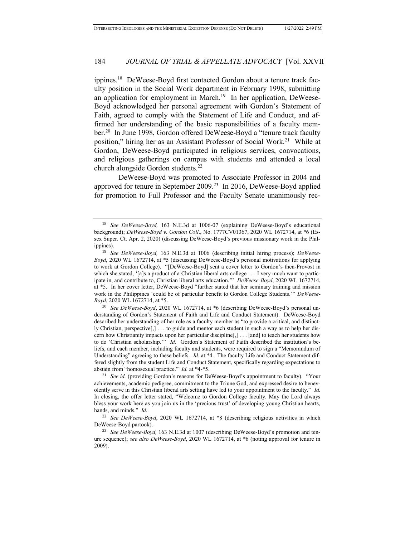ippines.<sup>18</sup> DeWeese-Boyd first contacted Gordon about a tenure track faculty position in the Social Work department in February 1998, submitting an application for employment in March.<sup>19</sup> In her application, DeWeese-Boyd acknowledged her personal agreement with Gordon's Statement of Faith, agreed to comply with the Statement of Life and Conduct, and affirmed her understanding of the basic responsibilities of a faculty member.<sup>20</sup> In June 1998, Gordon offered DeWeese-Boyd a "tenure track faculty position," hiring her as an Assistant Professor of Social Work.<sup>21</sup> While at Gordon, DeWeese-Boyd participated in religious services, convocations, and religious gatherings on campus with students and attended a local church alongside Gordon students.<sup>22</sup>

DeWeese-Boyd was promoted to Associate Professor in 2004 and approved for tenure in September 2009.<sup>23</sup> In 2016, DeWeese-Boyd applied for promotion to Full Professor and the Faculty Senate unanimously rec-

<sup>18</sup> *See DeWeese-Boyd,* 163 N.E.3d at 1006-07 (explaining DeWeese-Boyd's educational background); *DeWeese-Boyd v. Gordon Coll*., No. 1777CV01367, 2020 WL 1672714, at \*6 (Essex Super. Ct. Apr. 2, 2020) (discussing DeWeese-Boyd's previous missionary work in the Philippines).

<sup>19</sup> *See DeWeese-Boyd,* 163 N.E.3d at 1006 (describing initial hiring process); *DeWeese-Boyd*, 2020 WL 1672714, at \*5 (discussing DeWeese-Boyd's personal motivations for applying to work at Gordon College). "[DeWeese-Boyd] sent a cover letter to Gordon's then-Provost in which she stated, '[a]s a product of a Christian liberal arts college . . . I very much want to participate in, and contribute to, Christian liberal arts education.'" *DeWeese-Boyd*, 2020 WL 1672714, at \*5. In her cover letter, DeWeese-Boyd "further stated that her seminary training and mission work in the Philippines 'could be of particular benefit to Gordon College Students.'" *DeWeese-Boyd*, 2020 WL 1672714, at \*5.

<sup>20</sup> *See DeWeese-Boyd*, 2020 WL 1672714, at \*6 (describing DeWeese-Boyd's personal understanding of Gordon's Statement of Faith and Life and Conduct Statement). DeWeese-Boyd described her understanding of her role as a faculty member as "to provide a critical, and distinctly Christian, perspective[,] . . . to guide and mentor each student in such a way as to help her discern how Christianity impacts upon her particular discipline[,] . . . [and] to teach her students how to do 'Christian scholarship.'" *Id.* Gordon's Statement of Faith described the institution's beliefs, and each member, including faculty and students, were required to sign a "Memorandum of Understanding" agreeing to these beliefs. *Id.* at \*4. The faculty Life and Conduct Statement differed slightly from the student Life and Conduct Statement, specifically regarding expectations to abstain from "homosexual practice." *Id.* at \*4-\*5.

<sup>&</sup>lt;sup>21</sup> *See id.* (providing Gordon's reasons for DeWeese-Boyd's appointment to faculty). "Your achievements, academic pedigree, commitment to the Triune God, and expressed desire to benevolently serve in this Christian liberal arts setting have led to your appointment to the faculty." *Id.* In closing, the offer letter stated, "Welcome to Gordon College faculty. May the Lord always bless your work here as you join us in the 'precious trust' of developing young Christian hearts, hands, and minds." *Id.* 

<sup>22</sup> *See DeWeese-Boyd*, 2020 WL 1672714, at \*8 (describing religious activities in which DeWeese-Boyd partook).

<sup>23</sup> *See DeWeese-Boyd,* 163 N.E.3d at 1007 (describing DeWeese-Boyd's promotion and tenure sequence); *see also DeWeese-Boyd*, 2020 WL 1672714, at \*6 (noting approval for tenure in 2009).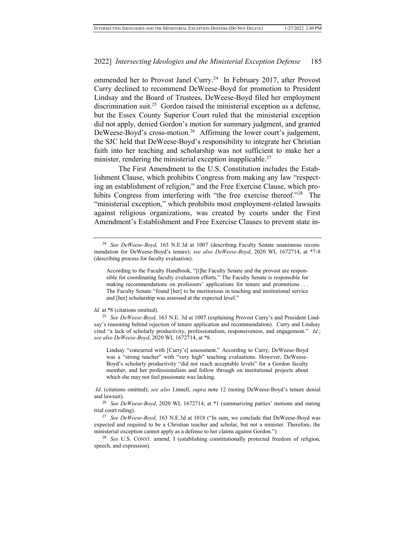ommended her to Provost Janel Curry.<sup>24</sup> In February 2017, after Provost Curry declined to recommend DeWeese-Boyd for promotion to President Lindsay and the Board of Trustees, DeWeese-Boyd filed her employment discrimination suit.<sup>25</sup> Gordon raised the ministerial exception as a defense, but the Essex County Superior Court ruled that the ministerial exception did not apply, denied Gordon's motion for summary judgment, and granted DeWeese-Boyd's cross-motion.<sup>26</sup> Affirming the lower court's judgement, the SJC held that DeWeese-Boyd's responsibility to integrate her Christian faith into her teaching and scholarship was not sufficient to make her a minister, rendering the ministerial exception inapplicable.<sup>27</sup>

The First Amendment to the U.S. Constitution includes the Establishment Clause, which prohibits Congress from making any law "respecting an establishment of religion," and the Free Exercise Clause, which prohibits Congress from interfering with "the free exercise thereof."<sup>28</sup> The "ministerial exception," which prohibits most employment-related lawsuits against religious organizations, was created by courts under the First Amendment's Establishment and Free Exercise Clauses to prevent state in-

Lindsay "concurred with [Curry's] assessment." According to Curry, DeWeese-Boyd was a "strong teacher" with "very high" teaching evaluations. However, DeWeese-Boyd's scholarly productivity "did not reach acceptable levels" for a Gordon faculty member, and her professionalism and follow through on institutional projects about which she may not feel passionate was lacking.

*Id*. (citations omitted); *see also* Linnell, *supra* note 12 (noting DeWeese-Boyd's tenure denial and lawsuit).

<sup>24</sup> *See DeWeese-Boyd,* 163 N.E.3d at 1007 (describing Faculty Senate unanimous recommendation for DeWeese-Boyd's tenure); *see also DeWeese-Boyd*, 2020 WL 1672714, at \*7-8 (describing process for faculty evaluation).

According to the Faculty Handbook, "[t]he Faculty Senate and the provost are responsible for coordinating faculty evaluation efforts." The Faculty Senate is responsible for making recommendations on professors' applications for tenure and promotions . . . The Faculty Senate "found [her] to be meritorious in teaching and institutional service and [her] scholarship was assessed at the expected level."

*Id.* at \*8 (citations omitted).

<sup>25</sup> *See DeWeese-Boyd,* 163 N.E. 3d at 1007 (explaining Provost Curry's and President Lindsay's reasoning behind rejection of tenure application and recommendation). Curry and Lindsay cited "a lack of scholarly productivity, professionalism, responsiveness, and engagement." *Id.*; *see also DeWeese-Boyd*, 2020 WL 1672714, at \*8.

<sup>26</sup> *See DeWeese-Boyd*, 2020 WL 1672714, at \*1 (summarizing parties' motions and stating trial court ruling).

<sup>27</sup> *See DeWeese-Boyd,* 163 N.E.3d at 1018 ("In sum, we conclude that DeWeese-Boyd was expected and required to be a Christian teacher and scholar, but not a minister. Therefore, the ministerial exception cannot apply as a defense to her claims against Gordon.")

<sup>&</sup>lt;sup>28</sup> *See* U.S. CONST. amend. I (establishing constitutionally protected freedom of religion, speech, and expression).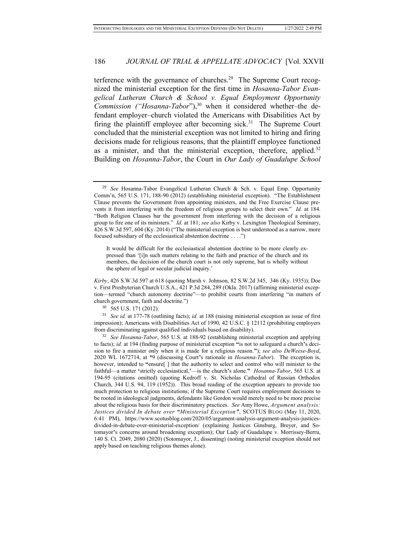terference with the governance of churches.<sup>29</sup> The Supreme Court recognized the ministerial exception for the first time in *Hosanna-Tabor Evangelical Lutheran Church & School v. Equal Employment Opportunity Commission ("Hosanna-Tabor"*),<sup>30</sup> when it considered whether–the defendant employer–church violated the Americans with Disabilities Act by firing the plaintiff employee after becoming sick.<sup>31</sup> The Supreme Court concluded that the ministerial exception was not limited to hiring and firing decisions made for religious reasons, that the plaintiff employee functioned as a minister, and that the ministerial exception, therefore, applied.<sup>32</sup> Building on *Hosanna-Tabor*, the Court in *Our Lady of Guadalupe School* 

It would be difficult for the ecclesiastical abstention doctrine to be more clearly expressed than '[i]n such matters relating to the faith and practice of the church and its members, the decision of the church court is not only supreme, but is wholly without the sphere of legal or secular judicial inquiry.'

*Kirby*, 426 S.W.3d 597 at 618 (quoting Marsh v. Johnson, 82 S.W.2d 345, 346 (Ky. 1935)); Doe v. First Presbyterian Church U.S.A., 421 P.3d 284, 289 (Okla. 2017) (affirming ministerial exception—termed "church autonomy doctrine"—to prohibit courts from interfering "in matters of church government, faith and doctrine.")

<sup>30</sup> 565 U.S. 171 (2012).

<sup>31</sup> *See id.* at 177-78 (outlining facts); *id.* at 188 (raising ministerial exception as issue of first impression); Americans with Disabilities Act of 1990, 42 U.S.C. § 12112 (prohibiting employers from discriminating against qualified individuals based on disability).

<sup>32</sup> *See Hosanna-Tabor*, 565 U.S. at 188-92 (establishing ministerial exception and applying to facts); *id.* at 194 (finding purpose of ministerial exception **"**is not to safeguard a church**'**s decision to fire a minister only when it is made for a religious reason.**"**); *see also DeWeese-Boyd*, 2020 WL 1672714, at \*9 (discussing Court**'**s rationale in *Hosanna-Tabor*). The exception is, however, intended to **"**ensure[ ] that the authority to select and control who will minister to the faithful—a matter **'**strictly ecclesiastical,**'**—is the church**'**s alone.**"** *Hosanna-Tabor*, 565 U.S. at 194-95 (citations omitted) (quoting Kedroff v. St. Nicholas Cathedral of Russian Orthodox Church, 344 U.S. 94, 119 (1952)). This broad reading of the exception appears to provide too much protection to religious institutions; if the Supreme Court requires employment decisions to be rooted in ideological judgments, defendants like Gordon would merely need to be more precise about the religious basis for their discriminatory practices. *See* Amy Howe, *Argument analysis: Justices divided In debate over "Ministerial Exception"*, SCOTUS BLOG (May 11, 2020, 6:41 PM), https://www.scotusblog.com/2020/05/argument-analysis-argument-analysis-justicesdivided-in-debate-over-ministerial-exception/ (explaining Justices Ginsburg, Breyer, and Sotomayor**'**s concerns around broadening exception); Our Lady of Guadalupe v. Morrissey-Berru, 140 S. Ct. 2049, 2080 (2020) (Sotomayor, J., dissenting) (noting ministerial exception should not apply based on teaching religious themes alone).

<sup>29</sup> *See* Hosanna-Tabor Evangelical Lutheran Church & Sch. v. Equal Emp. Opportunity Comm'n, 565 U.S. 171, 188-90 (2012) (establishing ministerial exception). "The Establishment Clause prevents the Government from appointing ministers, and the Free Exercise Clause prevents it from interfering with the freedom of religious groups to select their own." *Id.* at 184. "Both Religion Clauses bar the government from interfering with the decision of a religious group to fire one of its ministers." *Id.* at 181; *see also* Kirby v. Lexington Theological Seminary, 426 S.W.3d 597, 604 (Ky. 2014) ("The ministerial exception is best understood as a narrow, more focused subsidiary of the ecclesiastical abstention doctrine . . . .")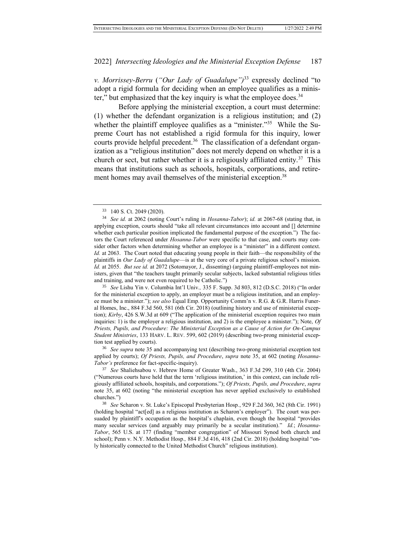*v. Morrissey-Berru* (*"Our Lady of Guadalupe")*<sup>33</sup> expressly declined "to adopt a rigid formula for deciding when an employee qualifies as a minister," but emphasized that the key inquiry is what the employee does.<sup>34</sup>

Before applying the ministerial exception, a court must determine: (1) whether the defendant organization is a religious institution; and (2) whether the plaintiff employee qualifies as a "minister."<sup>35</sup> While the Supreme Court has not established a rigid formula for this inquiry, lower courts provide helpful precedent.<sup>36</sup> The classification of a defendant organization as a "religious institution" does not merely depend on whether it is a church or sect, but rather whether it is a religiously affiliated entity.<sup>37</sup> This means that institutions such as schools, hospitals, corporations, and retirement homes may avail themselves of the ministerial exception.<sup>38</sup>

<sup>35</sup> *See* Lishu Yin v. Columbia Int'l Univ.*,* 335 F. Supp. 3d 803, 812 (D.S.C. 2018) ("In order for the ministerial exception to apply, an employer must be a religious institution, and an employee must be a minister."); *see also* Equal Emp. Opportunity Comm'n v. R.G. & G.R. Harris Funeral Homes, Inc., 884 F.3d 560, 581 (6th Cir. 2018) (outlining history and use of ministerial exception); *Kirby*, 426 S.W.3d at 609 ("The application of the ministerial exception requires two main inquiries: 1) is the employer a religious institution, and 2) is the employee a minister."); Note, *Of Priests, Pupils, and Procedure: The Ministerial Exception as a Cause of Action for On-Campus Student Ministries*, 133 HARV. L. REV. 599, 602 (2019) (describing two-prong ministerial exception test applied by courts).

<sup>36</sup> *See supra* note 35 and accompanying text (describing two-prong ministerial exception test applied by courts); *Of Priests, Pupils, and Procedure*, *supra* note 35, at 602 (noting *Hosanna-Tabor's* preference for fact-specific-inquiry).

<sup>37</sup> *See* Shaliehsabou v. Hebrew Home of Greater Wash., 363 F.3d 299, 310 (4th Cir. 2004) ("Numerous courts have held that the term 'religious institution,' in this context, can include religiously affiliated schools, hospitals, and corporations."); *Of Priests, Pupils, and Procedure*, *supra* note 35, at 602 (noting "the ministerial exception has never applied exclusively to established churches.")

<sup>38</sup> *See* Scharon v. St. Luke's Episcopal Presbyterian Hosp*.*, 929 F.2d 360, 362 (8th Cir. 1991) (holding hospital "act[ed] as a religious institution as Scharon's employer"). The court was persuaded by plaintiff's occupation as the hospital's chaplain, even though the hospital "provides many secular services (and arguably may primarily be a secular institution)." *Id.*; *Hosanna-Tabor*, 565 U.S. at 177 (finding "member congregation" of Missouri Synod both church and school); Penn v. N.Y. Methodist Hosp.*,* 884 F.3d 416, 418 (2nd Cir. 2018) (holding hospital "only historically connected to the United Methodist Church" religious institution).

<sup>33</sup> 140 S. Ct. 2049 (2020).

<sup>34</sup> *See id.* at 2062 (noting Court's ruling in *Hosanna-Tabor*); *id.* at 2067-68 (stating that, in applying exception, courts should "take all relevant circumstances into account and [] determine whether each particular position implicated the fundamental purpose of the exception.") The factors the Court referenced under *Hosanna-Tabor* were specific to that case, and courts may consider other factors when determining whether an employee is a "minister" in a different context. *Id.* at 2063. The Court noted that educating young people in their faith—the responsibility of the plaintiffs in *Our Lady of Guadalupe*—is at the very core of a private religious school's mission. *Id.* at 2055. *But see id.* at 2072 (Sotomayor, J., dissenting) (arguing plaintiff-employees not ministers, given that "the teachers taught primarily secular subjects, lacked substantial religious titles and training, and were not even required to be Catholic.")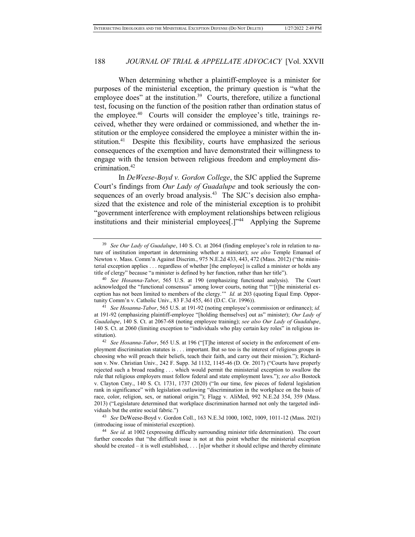When determining whether a plaintiff-employee is a minister for purposes of the ministerial exception, the primary question is "what the employee does" at the institution.<sup>39</sup> Courts, therefore, utilize a functional test, focusing on the function of the position rather than ordination status of the employee.<sup>40</sup> Courts will consider the employee's title, trainings received, whether they were ordained or commissioned, and whether the institution or the employee considered the employee a minister within the institution.<sup>41</sup> Despite this flexibility, courts have emphasized the serious consequences of the exemption and have demonstrated their willingness to engage with the tension between religious freedom and employment discrimination.<sup>42</sup>

In *DeWeese-Boyd v. Gordon College*, the SJC applied the Supreme Court's findings from *Our Lady of Guadalupe* and took seriously the consequences of an overly broad analysis.<sup>43</sup> The SJC's decision also emphasized that the existence and role of the ministerial exception is to prohibit "government interference with employment relationships between religious institutions and their ministerial employees[.]"<sup>44</sup> Applying the Supreme

<sup>39</sup> *See Our Lady of Guadalupe*, 140 S. Ct. at 2064 (finding employee's role in relation to nature of institution important in determining whether a minister); *see also* Temple Emanuel of Newton v. Mass. Comm'n Against Discrim., 975 N.E.2d 433, 443, 472 (Mass. 2012) ("the ministerial exception applies . . . regardless of whether [the employee] is called a minister or holds any title of clergy" because "a minister is defined by her function, rather than her title").

<sup>40</sup> *See Hosanna-Tabor*, 565 U.S. at 190 (emphasizing functional analysis). The Court acknowledged the "functional consensus" among lower courts, noting that "'[t]he ministerial exception has not been limited to members of the clergy.'" *Id.* at 203 (quoting Equal Emp. Opportunity Comm'n v. Catholic Univ., 83 F.3d 455, 461 (D.C. Cir. 1996)).

<sup>41</sup> *See Hosanna-Tabor*, 565 U.S. at 191-92 (noting employee's commission or ordinance); *id.*  at 191-92 (emphasizing plaintiff-employee "[holding themselves] out as" minister); *Our Lady of Guadalupe*, 140 S. Ct. at 2067-68 (noting employee training); *see also Our Lady of Guadalupe*, 140 S. Ct. at 2060 (limiting exception to "individuals who play certain key roles" in religious institution).

<sup>42</sup> *See Hosanna-Tabor*, 565 U.S. at 196 ("[T]he interest of society in the enforcement of employment discrimination statutes is . . . important. But so too is the interest of religious groups in choosing who will preach their beliefs, teach their faith, and carry out their mission."); Richardson v. Nw. Christian Univ.*,* 242 F. Supp. 3d 1132, 1145-46 (D. Or. 2017) ("Courts have properly rejected such a broad reading . . . which would permit the ministerial exception to swallow the rule that religious employers must follow federal and state employment laws."); *see also* Bostock v. Clayton Cnty., 140 S. Ct. 1731, 1737 (2020) ("In our time, few pieces of federal legislation rank in significance" with legislation outlawing "discrimination in the workplace on the basis of race, color, religion, sex, or national origin."); Flagg v. AliMed, 992 N.E.2d 354, 359 (Mass. 2013) ("Legislature determined that workplace discrimination harmed not only the targeted individuals but the entire social fabric.")

<sup>43</sup> *See* DeWeese-Boyd v. Gordon Coll., 163 N.E.3d 1000, 1002, 1009, 1011-12 (Mass. 2021) (introducing issue of ministerial exception).

<sup>44</sup> *See id.* at 1002 (expressing difficulty surrounding minister title determination). The court further concedes that "the difficult issue is not at this point whether the ministerial exception should be created – it is well established, . . . [n]or whether it should eclipse and thereby eliminate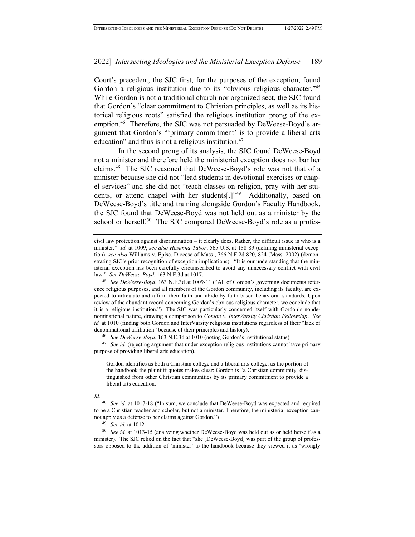Court's precedent, the SJC first, for the purposes of the exception, found Gordon a religious institution due to its "obvious religious character."<sup>45</sup> While Gordon is not a traditional church nor organized sect, the SJC found that Gordon's "clear commitment to Christian principles, as well as its historical religious roots" satisfied the religious institution prong of the exemption.<sup>46</sup> Therefore, the SJC was not persuaded by DeWeese-Boyd's argument that Gordon's "'primary commitment' is to provide a liberal arts education" and thus is not a religious institution.<sup>47</sup>

In the second prong of its analysis, the SJC found DeWeese-Boyd not a minister and therefore held the ministerial exception does not bar her claims.<sup>48</sup> The SJC reasoned that DeWeese-Boyd's role was not that of a minister because she did not "lead students in devotional exercises or chapel services" and she did not "teach classes on religion, pray with her students, or attend chapel with her students[.]"<sup>49</sup> Additionally, based on DeWeese-Boyd's title and training alongside Gordon's Faculty Handbook, the SJC found that DeWeese-Boyd was not held out as a minister by the school or herself.<sup>50</sup> The SJC compared DeWeese-Boyd's role as a profes-

<sup>47</sup> *See id.* (rejecting argument that under exception religious institutions cannot have primary purpose of providing liberal arts education)*.*

Gordon identifies as both a Christian college and a liberal arts college, as the portion of the handbook the plaintiff quotes makes clear: Gordon is "a Christian community, distinguished from other Christian communities by its primary commitment to provide a liberal arts education."

#### *Id.*

<sup>49</sup> *See id.* at 1012.

<sup>50</sup> *See id.* at 1013-15 (analyzing whether DeWeese-Boyd was held out as or held herself as a minister). The SJC relied on the fact that "she [DeWeese-Boyd] was part of the group of professors opposed to the addition of 'minister' to the handbook because they viewed it as 'wrongly

civil law protection against discrimination – it clearly does. Rather, the difficult issue is who is a minister." *Id.* at 1009; *see also Hosanna-Tabor*, 565 U.S. at 188-89 (defining ministerial exception); *see also* Williams v. Episc. Diocese of Mass., 766 N.E.2d 820, 824 (Mass. 2002) (demonstrating SJC's prior recognition of exception implications). "It is our understanding that the ministerial exception has been carefully circumscribed to avoid any unnecessary conflict with civil law." *See DeWeese-Boyd*, 163 N.E.3d at 1017.

<sup>45</sup> *See DeWeese-Boyd*, 163 N.E.3d at 1009-11 ("All of Gordon's governing documents reference religious purposes, and all members of the Gordon community, including its faculty, are expected to articulate and affirm their faith and abide by faith-based behavioral standards. Upon review of the abundant record concerning Gordon's obvious religious character, we conclude that it is a religious institution.") The SJC was particularly concerned itself with Gordon's nondenominational nature, drawing a comparison to *Conlon v. InterVarsity Christian Fellowship*. *See id.* at 1010 (finding both Gordon and InterVarsity religious institutions regardless of their "lack of denominational affiliation" because of their principles and history).

<sup>46</sup> *See DeWeese-Boyd*, 163 N.E.3d at 1010 (noting Gordon's institutional status).

<sup>48</sup> *See id.* at 1017-18 ("In sum, we conclude that DeWeese-Boyd was expected and required to be a Christian teacher and scholar, but not a minister. Therefore, the ministerial exception cannot apply as a defense to her claims against Gordon.")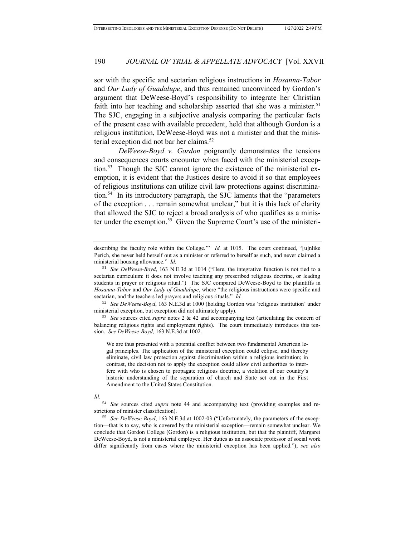sor with the specific and sectarian religious instructions in *Hosanna-Tabor* and *Our Lady of Guadalupe*, and thus remained unconvinced by Gordon's argument that DeWeese-Boyd's responsibility to integrate her Christian faith into her teaching and scholarship asserted that she was a minister.<sup>51</sup> The SJC, engaging in a subjective analysis comparing the particular facts of the present case with available precedent, held that although Gordon is a religious institution, DeWeese-Boyd was not a minister and that the ministerial exception did not bar her claims.<sup>52</sup>

*DeWeese-Boyd v. Gordon* poignantly demonstrates the tensions and consequences courts encounter when faced with the ministerial exception.<sup>53</sup> Though the SJC cannot ignore the existence of the ministerial exemption, it is evident that the Justices desire to avoid it so that employees of religious institutions can utilize civil law protections against discrimination.<sup>54</sup> In its introductory paragraph, the SJC laments that the "parameters of the exception . . . remain somewhat unclear," but it is this lack of clarity that allowed the SJC to reject a broad analysis of who qualifies as a minister under the exemption.<sup>55</sup> Given the Supreme Court's use of the ministeri-

<sup>52</sup> *See DeWeese-Boyd*, 163 N.E.3d at 1000 (holding Gordon was 'religious institution' under ministerial exception, but exception did not ultimately apply).

<sup>53</sup> *See* sources cited *supra* notes 2 & 42 and accompanying text (articulating the concern of balancing religious rights and employment rights). The court immediately introduces this tension. *See DeWeese-Boyd,* 163 N.E.3d at 1002.

We are thus presented with a potential conflict between two fundamental American legal principles. The application of the ministerial exception could eclipse, and thereby eliminate, civil law protection against discrimination within a religious institution; in contrast, the decision not to apply the exception could allow civil authorities to interfere with who is chosen to propagate religious doctrine, a violation of our country's historic understanding of the separation of church and State set out in the First Amendment to the United States Constitution.

#### *Id.*

<sup>54</sup> *See* sources cited *supra* note 44 and accompanying text (providing examples and restrictions of minister classification).

<sup>55</sup> *See DeWeese-Boyd*, 163 N.E.3d at 1002-03 ("Unfortunately, the parameters of the exception—that is to say, who is covered by the ministerial exception—remain somewhat unclear. We conclude that Gordon College (Gordon) is a religious institution, but that the plaintiff, Margaret DeWeese-Boyd, is not a ministerial employee. Her duties as an associate professor of social work differ significantly from cases where the ministerial exception has been applied."); *see also* 

describing the faculty role within the College." *Id.* at 1015. The court continued, "[u]nlike Perich, she never held herself out as a minister or referred to herself as such, and never claimed a ministerial housing allowance." *Id.*

<sup>51</sup> *See DeWeese-Boyd*, 163 N.E.3d at 1014 ("Here, the integrative function is not tied to a sectarian curriculum: it does not involve teaching any prescribed religious doctrine, or leading students in prayer or religious ritual.") The SJC compared DeWeese-Boyd to the plaintiffs in *Hosanna-Tabor* and *Our Lady of Guadalupe*, where "the religious instructions were specific and sectarian, and the teachers led prayers and religious rituals." *Id.*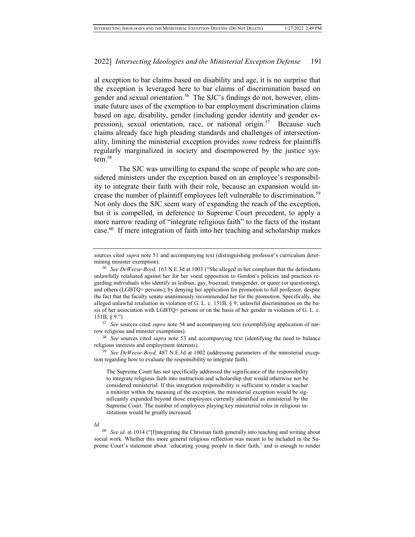al exception to bar claims based on disability and age, it is no surprise that the exception is leveraged here to bar claims of discrimination based on gender and sexual orientation.<sup>56</sup> The SJC's findings do not, however, eliminate future uses of the exemption to bar employment discrimination claims based on age, disability, gender (including gender identity and gender expression), sexual orientation, race, or national origin.<sup>57</sup> Because such claims already face high pleading standards and challenges of intersectionality, limiting the ministerial exception provides *some* redress for plaintiffs regularly marginalized in society and disempowered by the justice system.<sup>58</sup>

The SJC was unwilling to expand the scope of people who are considered ministers under the exception based on an employee's responsibility to integrate their faith with their role, because an expansion would increase the number of plaintiff employees left vulnerable to discrimination.<sup>59</sup> Not only does the SJC seem wary of expanding the reach of the exception, but it is compelled, in deference to Supreme Court precedent, to apply a more narrow reading of "integrate religious faith" to the facts of the instant case.<sup>60</sup> If mere integration of faith into her teaching and scholarship makes

<sup>57</sup> *See* sources cited *supra* note 54 and accompanying text (exemplifying application of narrow religious and minister exemptions).

<sup>58</sup> *See* sources cited *supra* note 53 and accompanying text (identifying the need to balance religious interests and employment interests).

<sup>59</sup> *See DeWeese-Boyd,* 487 N.E.3d at 1002 (addressing parameters of the ministerial exception regarding how to evaluate the responsibility to integrate faith).

The Supreme Court has not specifically addressed the significance of the responsibility to integrate religious faith into instruction and scholarship that would otherwise not be considered ministerial. If this integration responsibility is sufficient to render a teacher a minister within the meaning of the exception, the ministerial exception would be significantly expanded beyond those employees currently identified as ministerial by the Supreme Court. The number of employees playing key ministerial roles in religious institutions would be greatly increased.

#### *Id.*

sources cited *supra* note 51 and accompanying text (distinguishing professor's curriculum determining minister exemption).

<sup>56</sup> *See DeWeese-Boyd,* 163 N.E.3d at 1003 ("She alleged in her complaint that the defendants unlawfully retaliated against her for her vocal opposition to Gordon's policies and practices regarding individuals who identify as lesbian, gay, bisexual, transgender, or queer (or questioning), and others (LGBTQ+ persons), by denying her application for promotion to full professor, despite the fact that the faculty senate unanimously recommended her for the promotion. Specifically, she alleged unlawful retaliation in violation of G. L. c. 151B, § 9; unlawful discrimination on the basis of her association with LGBTQ+ persons or on the basis of her gender in violation of G. L. c. 151B, § 9.")

<sup>60</sup> *See id.* at 1014 ("[I]ntegrating the Christian faith generally into teaching and writing about social work. Whether this more general religious reflection was meant to be included in the Supreme Court's statement about 'educating young people in their faith,' and is enough to render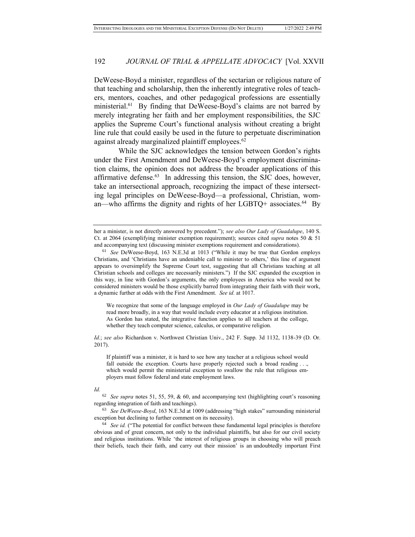DeWeese-Boyd a minister, regardless of the sectarian or religious nature of that teaching and scholarship, then the inherently integrative roles of teachers, mentors, coaches, and other pedagogical professions are essentially ministerial.<sup>61</sup> By finding that DeWeese-Boyd's claims are not barred by merely integrating her faith and her employment responsibilities, the SJC applies the Supreme Court's functional analysis without creating a bright line rule that could easily be used in the future to perpetuate discrimination against already marginalized plaintiff employees.<sup>62</sup>

While the SJC acknowledges the tension between Gordon's rights under the First Amendment and DeWeese-Boyd's employment discrimination claims, the opinion does not address the broader applications of this affirmative defense.<sup>63</sup> In addressing this tension, the SJC does, however, take an intersectional approach, recognizing the impact of these intersecting legal principles on DeWeese-Boyd—a professional, Christian, woman—who affirms the dignity and rights of her LGBTQ+ associates. $^{64}$  By

We recognize that some of the language employed in *Our Lady of Guadalupe* may be read more broadly, in a way that would include every educator at a religious institution. As Gordon has stated, the integrative function applies to all teachers at the college, whether they teach computer science, calculus, or comparative religion.

*Id.*; *see also* Richardson v. Northwest Christian Univ., 242 F. Supp. 3d 1132, 1138-39 (D. Or. 2017).

If plaintiff was a minister, it is hard to see how any teacher at a religious school would fall outside the exception. Courts have properly rejected such a broad reading . . ., which would permit the ministerial exception to swallow the rule that religious employers must follow federal and state employment laws.

#### *Id.*

<sup>62</sup> *See supra* notes 51, 55, 59, & 60, and accompanying text (highlighting court's reasoning regarding integration of faith and teachings).

<sup>63</sup> *See DeWeese-Boyd*, 163 N.E.3d at 1009 (addressing "high stakes" surrounding ministerial exception but declining to further comment on its necessity).

<sup>64</sup> *See id.* ("The potential for conflict between these fundamental legal principles is therefore obvious and of great concern, not only to the individual plaintiffs, but also for our civil society and religious institutions. While 'the interest of religious groups in choosing who will preach their beliefs, teach their faith, and carry out their mission' is an undoubtedly important First

her a minister, is not directly answered by precedent."); *see also Our Lady of Guadalupe*, 140 S. Ct. at 2064 (exemplifying minister exemption requirement); sources cited *supra* notes 50 & 51 and accompanying text (discussing minister exemptions requirement and considerations).

<sup>61</sup> *See* DeWeese-Boyd, 163 N.E.3d at 1013 ("While it may be true that Gordon employs Christians, and 'Christians have an undeniable call to minister to others,' this line of argument appears to oversimplify the Supreme Court test, suggesting that all Christians teaching at all Christian schools and colleges are necessarily ministers.") If the SJC expanded the exception in this way, in line with Gordon's arguments, the only employees in America who would not be considered ministers would be those explicitly barred from integrating their faith with their work, a dynamic further at odds with the First Amendment. *See id.* at 1017.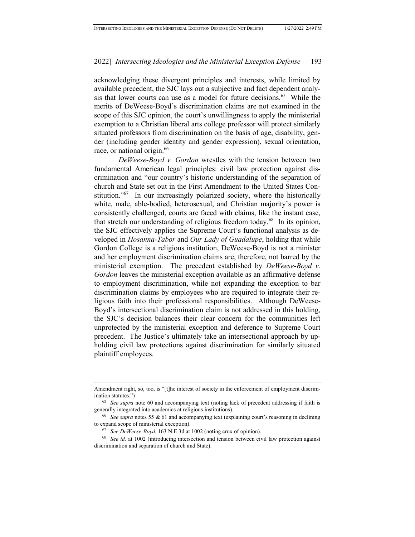acknowledging these divergent principles and interests, while limited by available precedent, the SJC lays out a subjective and fact dependent analysis that lower courts can use as a model for future decisions.<sup>65</sup> While the merits of DeWeese-Boyd's discrimination claims are not examined in the scope of this SJC opinion, the court's unwillingness to apply the ministerial exemption to a Christian liberal arts college professor will protect similarly situated professors from discrimination on the basis of age, disability, gender (including gender identity and gender expression), sexual orientation, race, or national origin.<sup>66</sup>

*DeWeese-Boyd v. Gordon* wrestles with the tension between two fundamental American legal principles: civil law protection against discrimination and "our country's historic understanding of the separation of church and State set out in the First Amendment to the United States Constitution."<sup>67</sup> In our increasingly polarized society, where the historically white, male, able-bodied, heterosexual, and Christian majority's power is consistently challenged, courts are faced with claims, like the instant case, that stretch our understanding of religious freedom today.<sup>68</sup> In its opinion, the SJC effectively applies the Supreme Court's functional analysis as developed in *Hosanna-Tabor* and *Our Lady of Guadalupe*, holding that while Gordon College is a religious institution, DeWeese-Boyd is not a minister and her employment discrimination claims are, therefore, not barred by the ministerial exemption. The precedent established by *DeWeese-Boyd v. Gordon* leaves the ministerial exception available as an affirmative defense to employment discrimination, while not expanding the exception to bar discrimination claims by employees who are required to integrate their religious faith into their professional responsibilities. Although DeWeese-Boyd's intersectional discrimination claim is not addressed in this holding, the SJC's decision balances their clear concern for the communities left unprotected by the ministerial exception and deference to Supreme Court precedent. The Justice's ultimately take an intersectional approach by upholding civil law protections against discrimination for similarly situated plaintiff employees.

Amendment right, so, too, is "[t]he interest of society in the enforcement of employment discrimination statutes.")

<sup>65</sup> *See supra* note 60 and accompanying text (noting lack of precedent addressing if faith is generally integrated into academics at religious institutions).

<sup>66</sup> *See supra* notes 55 & 61 and accompanying text (explaining court's reasoning in declining to expand scope of ministerial exception).

<sup>67</sup> *See DeWeese-Boyd*, 163 N.E.3d at 1002 (noting crux of opinion).

<sup>68</sup> *See id.* at 1002 (introducing intersection and tension between civil law protection against discrimination and separation of church and State).